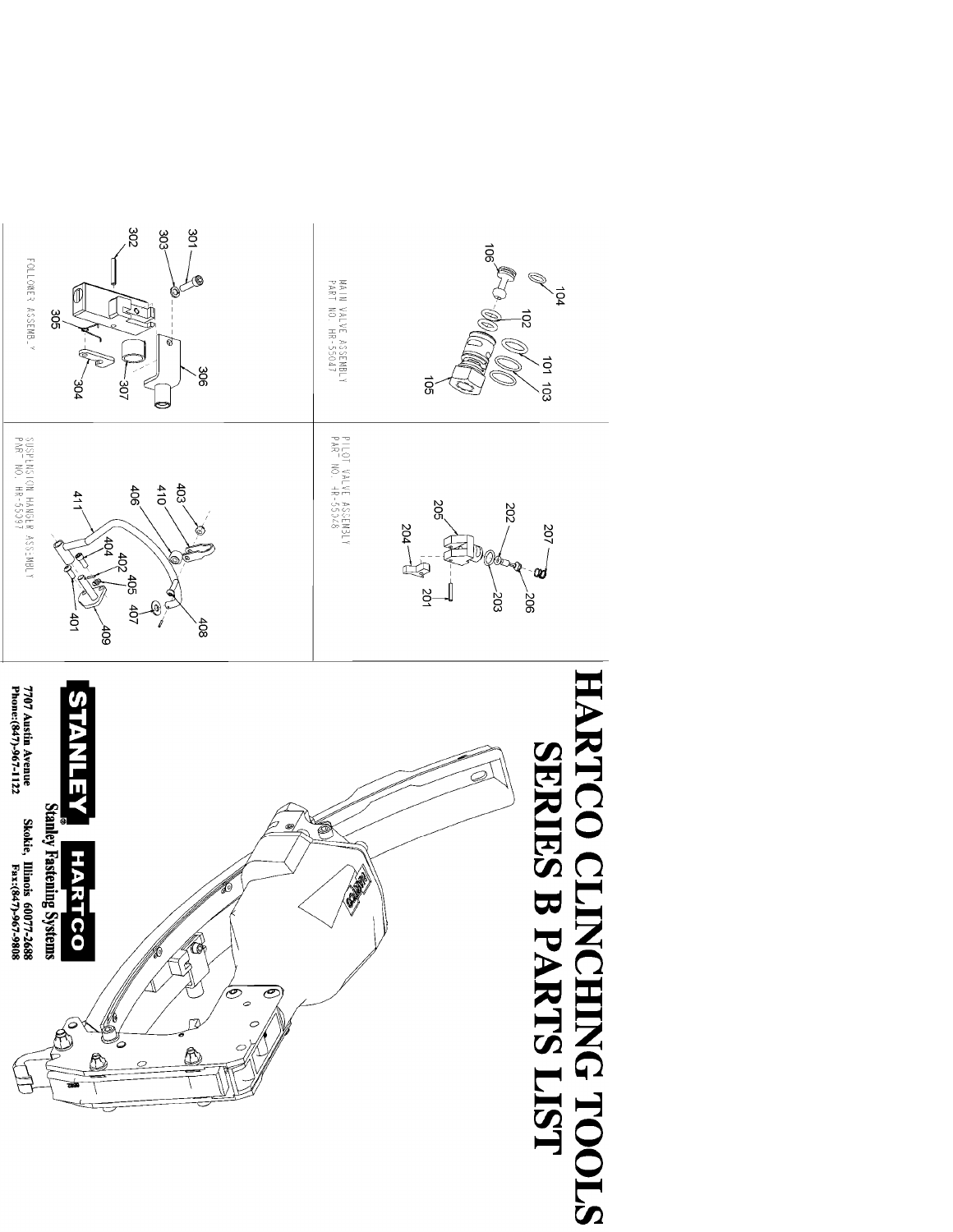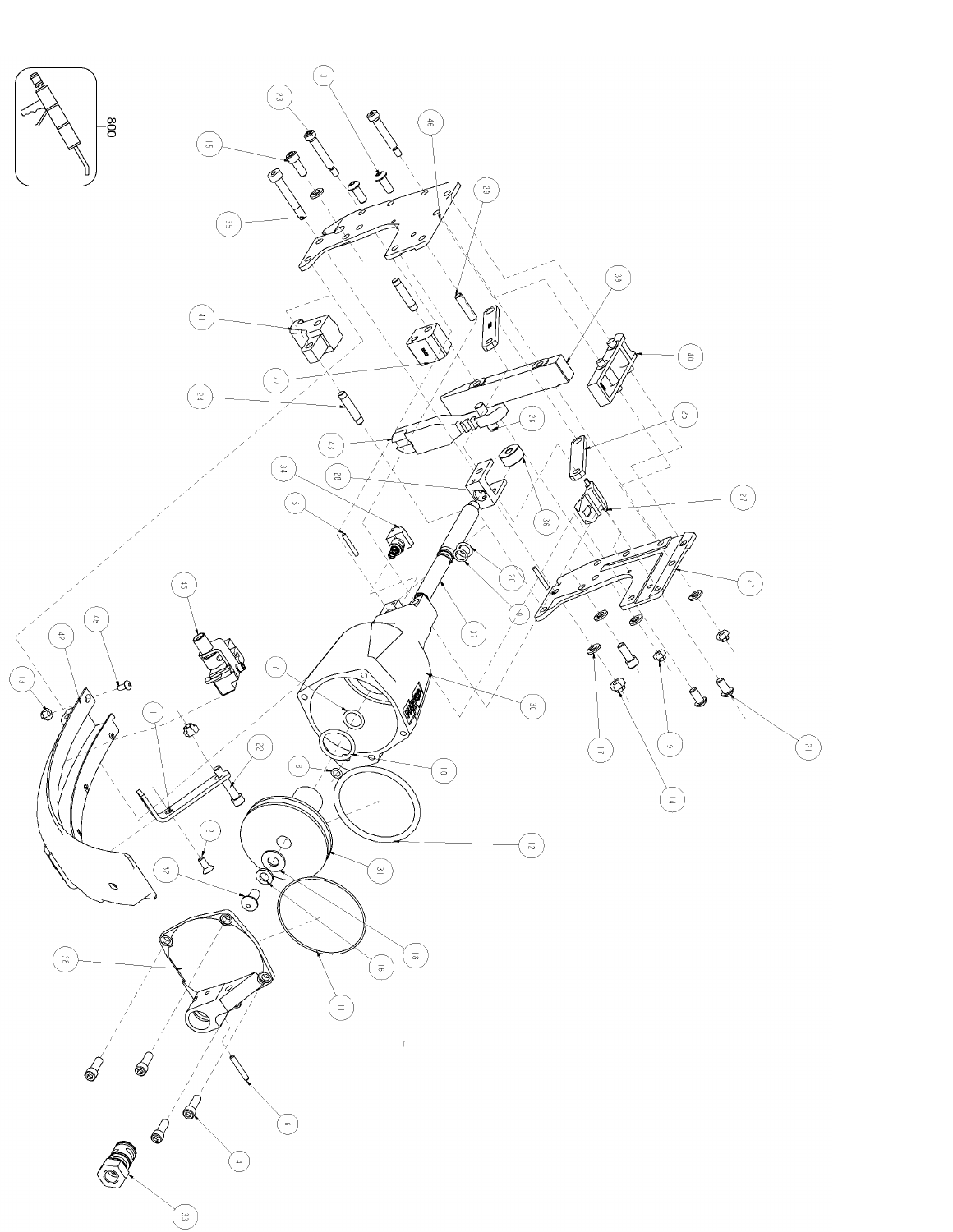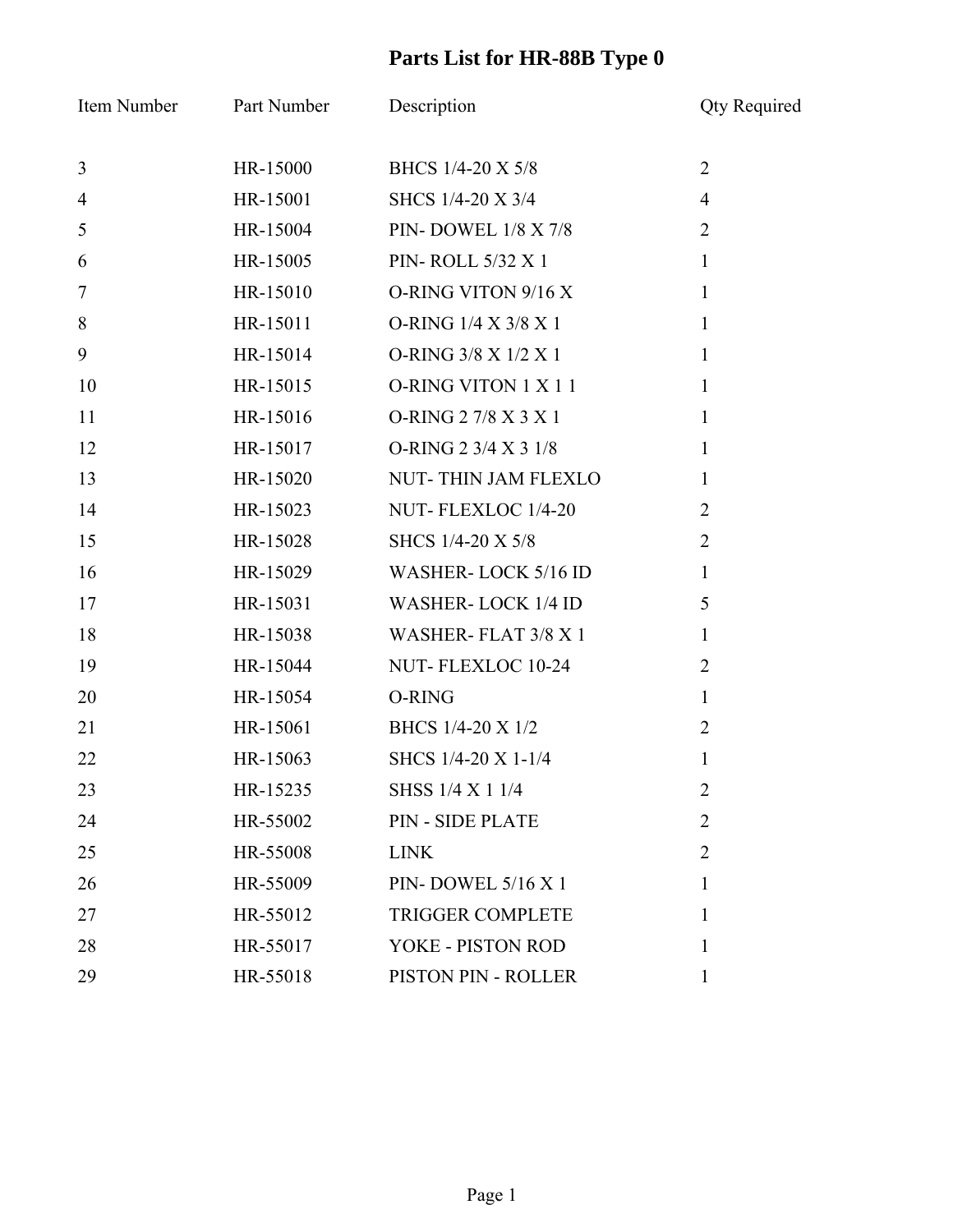## **Parts List for HR-88B Type 0**

| Item Number    | <b>Part Number</b> | Description                 | <b>Qty Required</b> |
|----------------|--------------------|-----------------------------|---------------------|
| $\mathfrak{Z}$ | HR-15000           | BHCS 1/4-20 X 5/8           | $\overline{2}$      |
| $\overline{4}$ | HR-15001           | SHCS 1/4-20 X 3/4           | $\overline{4}$      |
| 5              | HR-15004           | <b>PIN-DOWEL 1/8 X 7/8</b>  | $\overline{2}$      |
| 6              | HR-15005           | <b>PIN- ROLL 5/32 X 1</b>   | $\mathbf{1}$        |
| $\overline{7}$ | HR-15010           | O-RING VITON 9/16 X         | $\mathbf{1}$        |
| 8              | HR-15011           | O-RING 1/4 X 3/8 X 1        | $\mathbf{1}$        |
| 9              | HR-15014           | O-RING 3/8 X 1/2 X 1        | $\mathbf{1}$        |
| 10             | HR-15015           | <b>O-RING VITON 1 X 1 1</b> | $\mathbf{1}$        |
| 11             | HR-15016           | O-RING 2 7/8 X 3 X 1        | $\mathbf{1}$        |
| 12             | HR-15017           | O-RING 2 3/4 X 3 1/8        | $\mathbf{1}$        |
| 13             | HR-15020           | NUT-THIN JAM FLEXLO         | $\mathbf{1}$        |
| 14             | HR-15023           | NUT-FLEXLOC 1/4-20          | $\overline{2}$      |
| 15             | HR-15028           | SHCS 1/4-20 X 5/8           | $\overline{2}$      |
| 16             | HR-15029           | <b>WASHER-LOCK 5/16 ID</b>  | $\mathbf{1}$        |
| 17             | HR-15031           | WASHER-LOCK 1/4 ID          | 5                   |
| 18             | HR-15038           | <b>WASHER-FLAT 3/8 X 1</b>  | $\mathbf{1}$        |
| 19             | HR-15044           | NUT-FLEXLOC 10-24           | $\overline{2}$      |
| 20             | HR-15054           | O-RING                      | $\mathbf{1}$        |
| 21             | HR-15061           | BHCS 1/4-20 X 1/2           | $\overline{2}$      |
| 22             | HR-15063           | SHCS 1/4-20 X 1-1/4         | 1                   |
| 23             | HR-15235           | SHSS 1/4 X 1 1/4            | 2                   |
| 24             | HR-55002           | <b>PIN - SIDE PLATE</b>     | $\overline{2}$      |
| 25             | HR-55008           | <b>LINK</b>                 | $\overline{2}$      |
| 26             | HR-55009           | PIN-DOWEL $5/16$ X 1        | 1                   |
| 27             | HR-55012           | <b>TRIGGER COMPLETE</b>     | 1                   |
| 28             | HR-55017           | YOKE - PISTON ROD           | 1                   |
| 29             | HR-55018           | PISTON PIN - ROLLER         | 1                   |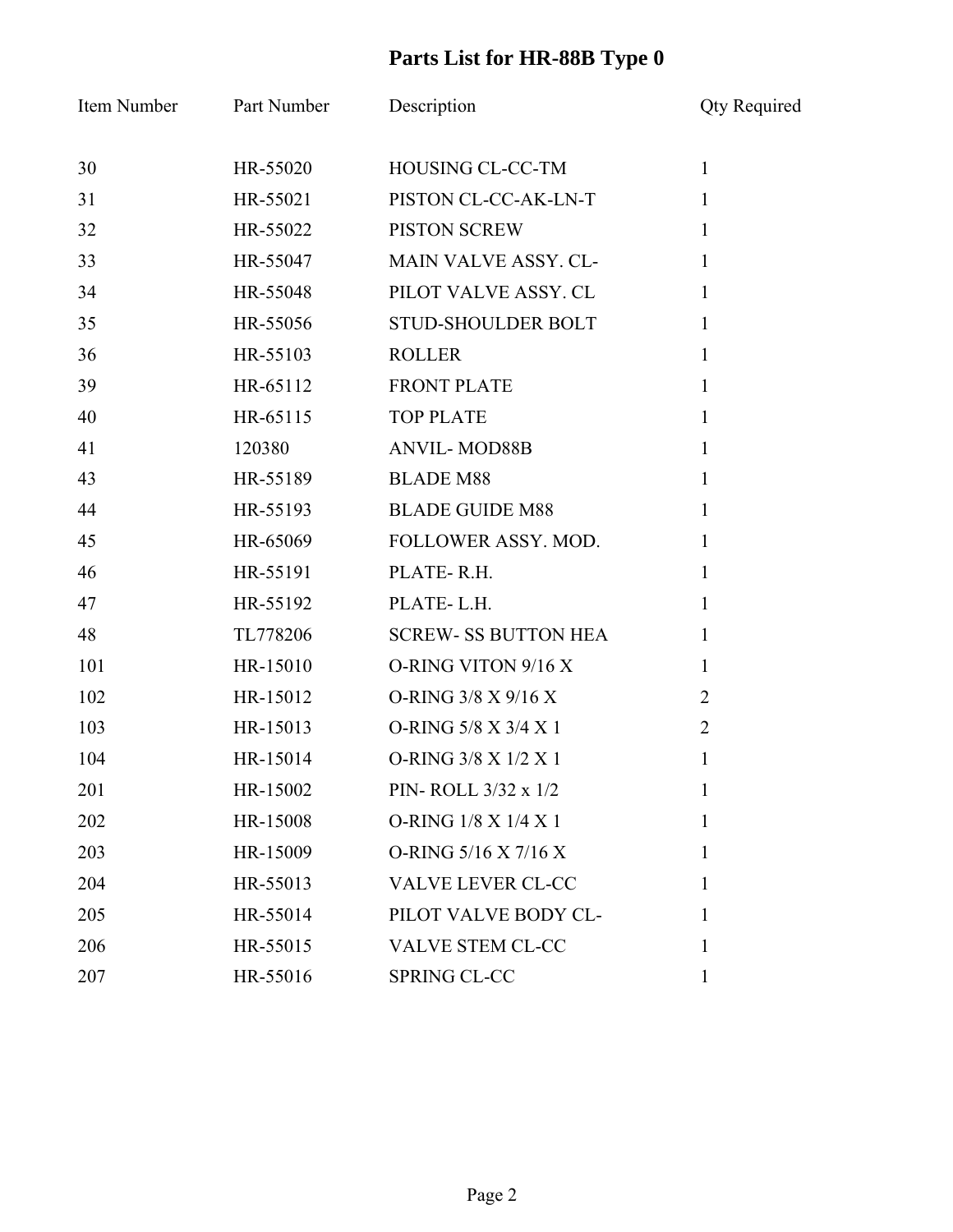## **Parts List for HR-88B Type 0**

| Item Number | <b>Part Number</b> | Description                | <b>Qty Required</b> |
|-------------|--------------------|----------------------------|---------------------|
| 30          | HR-55020           | HOUSING CL-CC-TM           | $\mathbf{1}$        |
| 31          | HR-55021           | PISTON CL-CC-AK-LN-T       | 1                   |
| 32          | HR-55022           | PISTON SCREW               | $\mathbf{1}$        |
| 33          | HR-55047           | MAIN VALVE ASSY. CL-       | $\mathbf{1}$        |
| 34          | HR-55048           | PILOT VALVE ASSY. CL       | $\mathbf{1}$        |
| 35          | HR-55056           | <b>STUD-SHOULDER BOLT</b>  | $\mathbf{1}$        |
| 36          | HR-55103           | <b>ROLLER</b>              | $\mathbf{1}$        |
| 39          | HR-65112           | <b>FRONT PLATE</b>         | $\mathbf{1}$        |
| 40          | HR-65115           | <b>TOP PLATE</b>           | $\mathbf{1}$        |
| 41          | 120380             | <b>ANVIL-MOD88B</b>        | $\mathbf{1}$        |
| 43          | HR-55189           | <b>BLADE M88</b>           | $\mathbf{1}$        |
| 44          | HR-55193           | <b>BLADE GUIDE M88</b>     | $\mathbf{1}$        |
| 45          | HR-65069           | FOLLOWER ASSY. MOD.        | $\mathbf{1}$        |
| 46          | HR-55191           | PLATE-R.H.                 | $\mathbf{1}$        |
| 47          | HR-55192           | PLATE-L.H.                 | $\mathbf{1}$        |
| 48          | TL778206           | <b>SCREW-SS BUTTON HEA</b> | $\mathbf{1}$        |
| 101         | HR-15010           | O-RING VITON 9/16 X        | $\mathbf{1}$        |
| 102         | HR-15012           | O-RING 3/8 X 9/16 X        | $\overline{2}$      |
| 103         | HR-15013           | O-RING 5/8 X 3/4 X 1       | $\overline{2}$      |
| 104         | HR-15014           | O-RING 3/8 X 1/2 X 1       | $\mathbf{1}$        |
| 201         | HR-15002           | PIN-ROLL 3/32 x 1/2        | $\mathbf{I}$        |
| 202         | HR-15008           | O-RING 1/8 X 1/4 X 1       | 1                   |
| 203         | HR-15009           | O-RING 5/16 X 7/16 X       | 1                   |
| 204         | HR-55013           | <b>VALVE LEVER CL-CC</b>   | 1                   |
| 205         | HR-55014           | PILOT VALVE BODY CL-       | 1                   |
| 206         | HR-55015           | VALVE STEM CL-CC           | 1                   |
| 207         | HR-55016           | SPRING CL-CC               | 1                   |